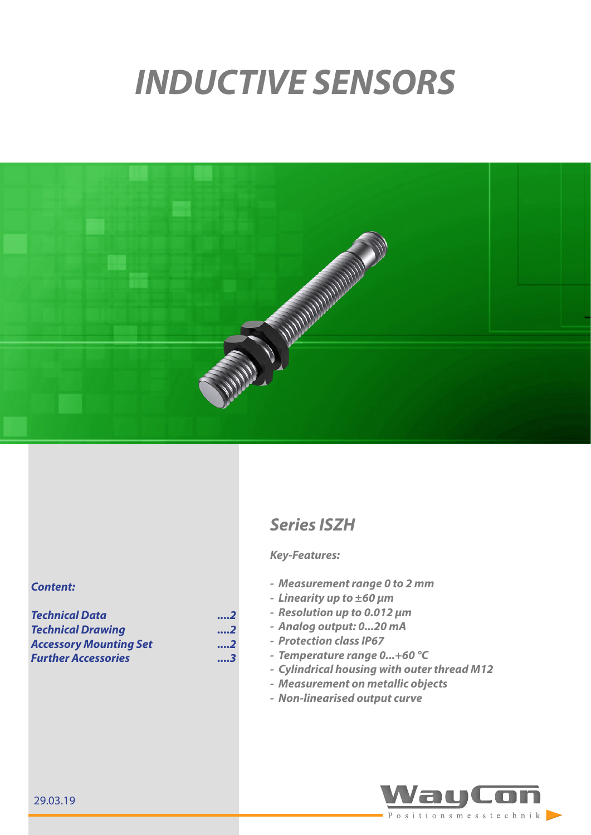# *INDUCTIVE SENSORS*



# *Series ISZH*

## *Key-Features:*

- *- Measurement range 0 to 2 mm*
- *- Linearity up to ±60 μm*
- *- Resolution up to 0.012 μm*
- *- Analog output: 0...20 mA*
- *- Protection class IP67*
- *- Temperature range 0...+60 °C*
- *- Cylindrical housing with outer thread M12*
- *- Measurement on metallic objects*
- *- Non-linearised output curve*



### *Content:*

*[Technical Data ....2](#page-1-0)* **Technical Drawing** *[Accessory Mounting Set](#page-1-0) ....2 [Further Accessories](#page-2-0) ....3*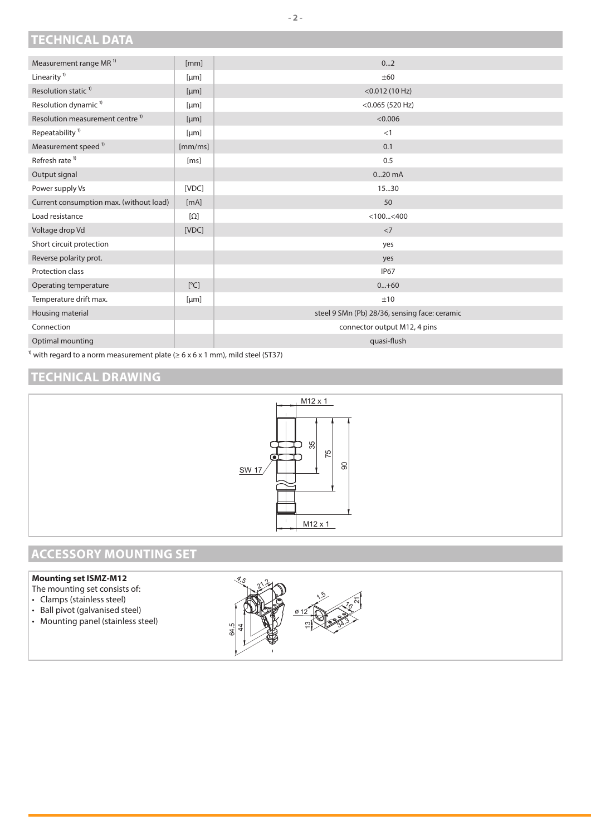## <span id="page-1-0"></span>**TECHNICAL DATA**

| Measurement range MR <sup>1)</sup>                                                                        | [mm]       | 02                                            |
|-----------------------------------------------------------------------------------------------------------|------------|-----------------------------------------------|
| Linearity <sup>1)</sup>                                                                                   | [µm]       | ±60                                           |
| Resolution static <sup>1)</sup>                                                                           | [µm]       | $<$ 0.012 (10 Hz)                             |
| Resolution dynamic <sup>1)</sup>                                                                          | [µm]       | $<$ 0.065 (520 Hz)                            |
| Resolution measurement centre <sup>1)</sup>                                                               | [µm]       | < 0.006                                       |
| Repeatability <sup>1)</sup>                                                                               | [µm]       | <1                                            |
| Measurement speed <sup>1)</sup>                                                                           | [mm/ms]    | 0.1                                           |
| Refresh rate <sup>1)</sup>                                                                                | [ms]       | 0.5                                           |
| Output signal                                                                                             |            | $020$ mA                                      |
| Power supply Vs                                                                                           | [VDC]      | 15.30                                         |
| Current consumption max. (without load)                                                                   | [mA]       | 50                                            |
| Load resistance                                                                                           | $[\Omega]$ | $<$ 100 $<$ 400                               |
| Voltage drop Vd                                                                                           | [VDC]      | $<$ 7                                         |
| Short circuit protection                                                                                  |            | yes                                           |
| Reverse polarity prot.                                                                                    |            | yes                                           |
| Protection class                                                                                          |            | <b>IP67</b>                                   |
| Operating temperature                                                                                     | [°C]       | $0+60$                                        |
| Temperature drift max.                                                                                    | [µm]       | ±10                                           |
| Housing material                                                                                          |            | steel 9 SMn (Pb) 28/36, sensing face: ceramic |
| Connection                                                                                                |            | connector output M12, 4 pins                  |
| Optimal mounting                                                                                          |            | quasi-flush                                   |
| <sup>1)</sup> with regard to a norm measurement plate ( $\geq 6 \times 6 \times 1$ mm), mild steel (ST37) |            |                                               |

**TECHNICAL DRAWING**



## **ACCESSORY MOUNTING SET**

### **Mounting set ISMZ-M12**

- The mounting set consists of:
- Clamps (stainless steel)
- Ball pivot (galvanised steel)
- Mounting panel (stainless steel)